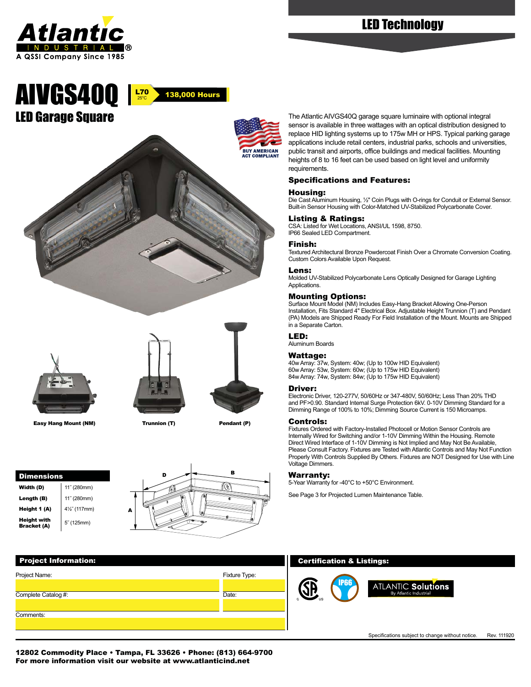

# LED Technology

# LED Garage Square AIVGS40Q



The Atlantic AIVGS40Q garage square luminaire with optional integral sensor is available in three wattages with an optical distribution designed to replace HID lighting systems up to 175w MH or HPS. Typical parking garage applications include retail centers, industrial parks, schools and universities, public transit and airports, office buildings and medical facilities. Mounting heights of 8 to 16 feet can be used based on light level and uniformity requirements.

#### Specifications and Features:

#### Housing:

Die Cast Aluminum Housing, ½" Coin Plugs with O-rings for Conduit or External Sensor. Built-in Sensor Housing with Color-Matched UV-Stabilized Polycarbonate Cover.

#### Listing & Ratings:

CSA: Listed for Wet Locations, ANSI/UL 1598, 8750. IP66 Sealed LED Compartment.

#### Finish:

Textured Architectural Bronze Powdercoat Finish Over a Chromate Conversion Coating. Custom Colors Available Upon Request.

#### Lens:

Molded UV-Stabilized Polycarbonate Lens Optically Designed for Garage Lighting **Applications.** 

#### Mounting Options:

Surface Mount Model (NM) Includes Easy-Hang Bracket Allowing One-Person Installation, Fits Standard 4" Electrical Box. Adjustable Height Trunnion (T) and Pendant (PA) Models are Shipped Ready For Field Installation of the Mount. Mounts are Shipped in a Separate Carton.

#### LED:

Aluminum Boards

# Wattage:

40w Array: 37w, System: 40w; (Up to 100w HID Equivalent) 60w Array: 53w, System: 60w; (Up to 175w HID Equivalent) 84w Array: 74w, System: 84w; (Up to 175w HID Equivalent)

#### Driver:

Electronic Driver, 120-277V, 50/60Hz or 347-480V, 50/60Hz; Less Than 20% THD and PF>0.90. Standard Internal Surge Protection 6kV. 0-10V Dimming Standard for a Dimming Range of 100% to 10%; Dimming Source Current is 150 Microamps.

#### Controls:

Fixtures Ordered with Factory-Installed Photocell or Motion Sensor Controls are Internally Wired for Switching and/or 1-10V Dimming Within the Housing. Remote Direct Wired Interface of 1-10V Dimming is Not Implied and May Not Be Available, Please Consult Factory. Fixtures are Tested with Atlantic Controls and May Not Function Properly With Controls Supplied By Others. Fixtures are NOT Designed for Use with Line Voltage Dimmers.

#### Warranty:

5-Year Warranty for -40°C to +50°C Environment.

See Page 3 for Projected Lumen Maintenance Table.

25°C

138,000 Hours



Easy Hang Mount (NM) Trunnion (T) Pendant (P)







# Project Information: Fixture Type: Date: Project Name: Comments: Complete Catalog #:

## Certification & Listings:

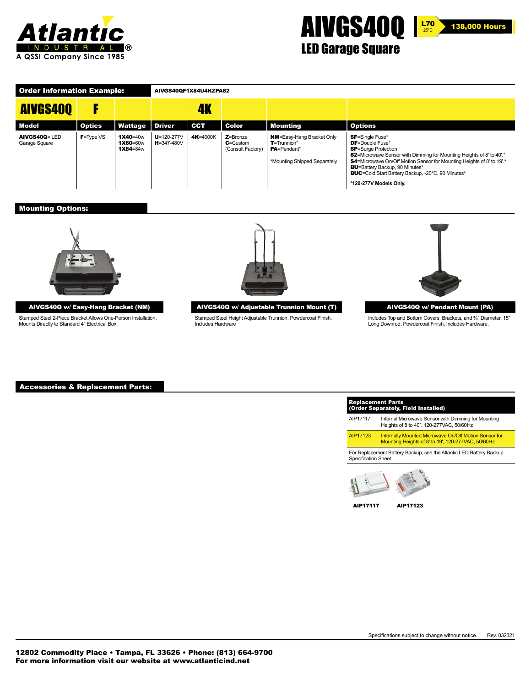





# LED Garage Square

| <b>Order Information Example:</b> |               |                                  | AIVGS40QF1X84U4KZPAS2                  |            |                                                  |                                                                                                            |                                                                                                                                                                                                                                                                                                                                                                       |  |
|-----------------------------------|---------------|----------------------------------|----------------------------------------|------------|--------------------------------------------------|------------------------------------------------------------------------------------------------------------|-----------------------------------------------------------------------------------------------------------------------------------------------------------------------------------------------------------------------------------------------------------------------------------------------------------------------------------------------------------------------|--|
| <b>AIVGS400</b>                   |               |                                  |                                        | 4K         |                                                  |                                                                                                            |                                                                                                                                                                                                                                                                                                                                                                       |  |
| Model                             | <b>Optics</b> | Wattage                          | <b>Driver</b>                          | <b>CCT</b> | Color                                            | Mounting                                                                                                   | <b>Options</b>                                                                                                                                                                                                                                                                                                                                                        |  |
| AIVGS40Q= LED<br>Garage Square    | $F = Type VS$ | 1X40=40w<br>1X60=60w<br>1X84=84w | $U = 120 - 277V$<br><b>H</b> =347-480V | 4K=4000K   | $Z =$ Bronze<br>$c$ =Custom<br>(Consult Factory) | <b>NM=Easy-Hang Bracket Only</b><br>$T = Trunnion*$<br><b>PA</b> =Pendant*<br>*Mounting Shipped Separately | <b>SF</b> =Single Fuse*<br><b>DF</b> =Double Fuse*<br><b>SP</b> =Surge Protection<br>\$2=Microwave Sensor with Dimming for Mounting Heights of 8' to 40'.*<br>\$4=Microwave On/Off Motion Sensor for Mounting Heights of 8' to 19'.*<br><b>BU</b> =Battery Backup, 90 Minutes*<br><b>BUC</b> =Cold Start Battery Backup, -20°C, 90 Minutes*<br>*120-277V Models Only. |  |

## Mounting Options:



#### AIVGS40Q w/ Easy-Hang Bracket (NM)

Stamped Steel 2-Piece Bracket Allows One-Person Installation. Mounts Directly to Standard 4" Electrical Box



AIVGS40Q w/ Adjustable Trunnion Mount (T)

Stamped Steel Height Adjustable Trunnion, Powdercoat Finish, Includes Hardware



AIVGS40Q w/ Pendant Mount (PA)

Includes Top and Bottom Covers, Brackets, and ¾" Diameter, 15" Long Downrod, Powdercoat Finish, Includes Hardware.

#### Accessories & Replacement Parts:

| AIP17117             | Internal Microwave Sensor with Dimming for Mounting<br>Heights of 8 to 40'. 120-277VAC, 50/60Hz                    |
|----------------------|--------------------------------------------------------------------------------------------------------------------|
| AIP17123             | <b>Internally Mounted Microwave On/Off Motion Sensor for</b><br>Mounting Heights of 8' to 19', 120-277VAC, 50/60Hz |
| Specification Sheet. | For Replacement Battery Backup, see the Atlantic LED Battery Backup                                                |



AIP17117 AIP17123